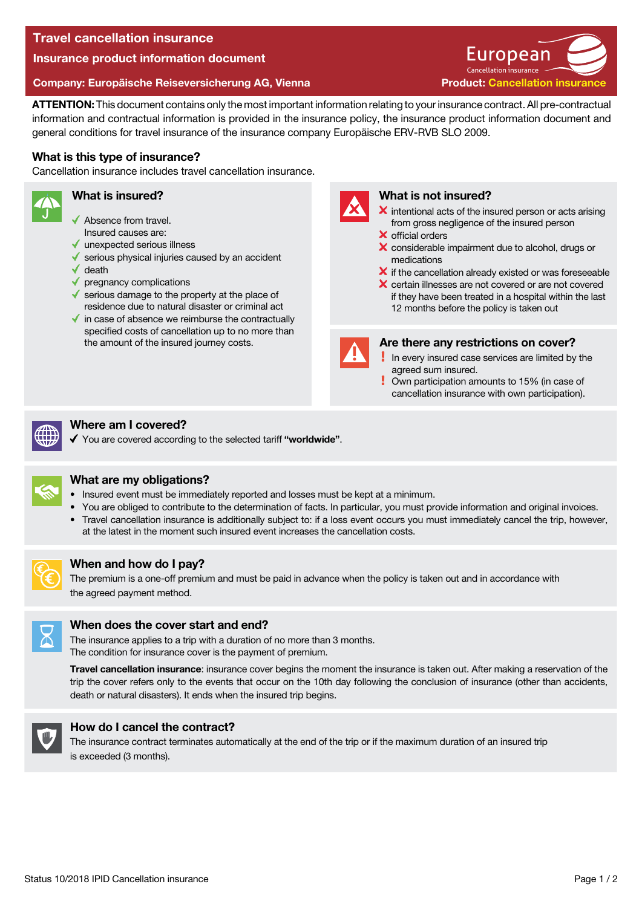# Travel cancellation insurance

Insurance product information document

### Company: Europäische Reiseversicherung AG, Vienna

ATTENTION: This document contains only the most important information relating to your insurance contract. All pre-contractual information and contractual information is provided in the insurance policy, the insurance product information document and general conditions for travel insurance of the insurance company Europäische ERV-RVB SLO 2009.

## What is this type of insurance?

Cancellation insurance includes travel cancellation insurance.

### What is insured?

- ◆ Absence from travel.
- Insured causes are:
- unexpected serious illness
- $\sqrt{\ }$  serious physical injuries caused by an accident
- death
- pregnancy complications
- $\checkmark$  serious damage to the property at the place of residence due to natural disaster or criminal act
- $\checkmark$  in case of absence we reimburse the contractually specified costs of cancellation up to no more than the amount of the insured journey costs.



## What is not insured?

 $\boldsymbol{\times}$  intentional acts of the insured person or acts arising from gross negligence of the insured person

Cancellation insurance **Iropean** 

**Product: Cancellation insurance** 

- $\times$  official orders
- X considerable impairment due to alcohol, drugs or medications
- $\boldsymbol{\times}$  if the cancellation already existed or was foreseeable
- X certain illnesses are not covered or are not covered if they have been treated in a hospital within the last 12 months before the policy is taken out



#### Are there any restrictions on cover?

- In every insured case services are limited by the agreed sum insured.
- Own participation amounts to 15% (in case of cancellation insurance with own participation).



# Where am I covered?

You are covered according to the selected tariff "worldwide".



## What are my obligations?

- Insured event must be immediately reported and losses must be kept at a minimum.
- You are obliged to contribute to the determination of facts. In particular, you must provide information and original invoices.
- Travel cancellation insurance is additionally subject to: if a loss event occurs you must immediately cancel the trip, however, at the latest in the moment such insured event increases the cancellation costs.



## When and how do I pay?

The premium is a one-off premium and must be paid in advance when the policy is taken out and in accordance with the agreed payment method.



## When does the cover start and end?

The insurance applies to a trip with a duration of no more than 3 months. The condition for insurance cover is the payment of premium.

Travel cancellation insurance: insurance cover begins the moment the insurance is taken out. After making a reservation of the trip the cover refers only to the events that occur on the 10th day following the conclusion of insurance (other than accidents, death or natural disasters). It ends when the insured trip begins.



## How do I cancel the contract?

The insurance contract terminates automatically at the end of the trip or if the maximum duration of an insured trip is exceeded (3 months).